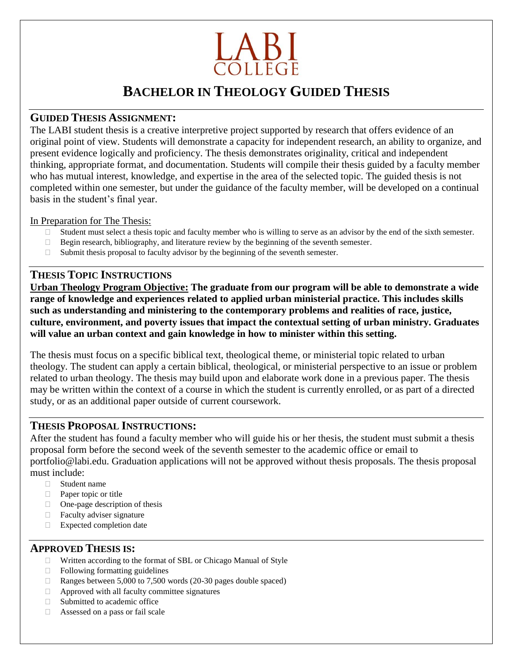

# **BACHELOR IN THEOLOGY GUIDED THESIS**

### **GUIDED THESIS ASSIGNMENT:**

The LABI student thesis is a creative interpretive project supported by research that offers evidence of an original point of view. Students will demonstrate a capacity for independent research, an ability to organize, and present evidence logically and proficiency. The thesis demonstrates originality, critical and independent thinking, appropriate format, and documentation. Students will compile their thesis guided by a faculty member who has mutual interest, knowledge, and expertise in the area of the selected topic. The guided thesis is not completed within one semester, but under the guidance of the faculty member, will be developed on a continual basis in the student's final year.

#### In Preparation for The Thesis:

- $\Box$  Student must select a thesis topic and faculty member who is willing to serve as an advisor by the end of the sixth semester.
- $\Box$  Begin research, bibliography, and literature review by the beginning of the seventh semester.
- $\Box$  Submit thesis proposal to faculty advisor by the beginning of the seventh semester.

# **THESIS TOPIC INSTRUCTIONS**

**Urban Theology Program Objective: The graduate from our program will be able to demonstrate a wide range of knowledge and experiences related to applied urban ministerial practice. This includes skills such as understanding and ministering to the contemporary problems and realities of race, justice, culture, environment, and poverty issues that impact the contextual setting of urban ministry. Graduates will value an urban context and gain knowledge in how to minister within this setting.**

The thesis must focus on a specific biblical text, theological theme, or ministerial topic related to urban theology. The student can apply a certain biblical, theological, or ministerial perspective to an issue or problem related to urban theology. The thesis may build upon and elaborate work done in a previous paper. The thesis may be written within the context of a course in which the student is currently enrolled, or as part of a directed study, or as an additional paper outside of current coursework.

## **THESIS PROPOSAL INSTRUCTIONS:**

After the student has found a faculty member who will guide his or her thesis, the student must submit a thesis proposal form before the second week of the seventh semester to the academic office or email to portfolio@labi.edu. Graduation applications will not be approved without thesis proposals. The thesis proposal must include:

- □ Student name
- **Paper topic or title**
- $\Box$  One-page description of thesis
- □ Faculty adviser signature
- □ Expected completion date

## **APPROVED THESIS IS:**

- Written according to the format of SBL or Chicago Manual of Style
- $\Box$  Following formatting guidelines
- Ranges between 5,000 to 7,500 words (20-30 pages double spaced)
- $\Box$  Approved with all faculty committee signatures
- $\Box$  Submitted to academic office
- Assessed on a pass or fail scale